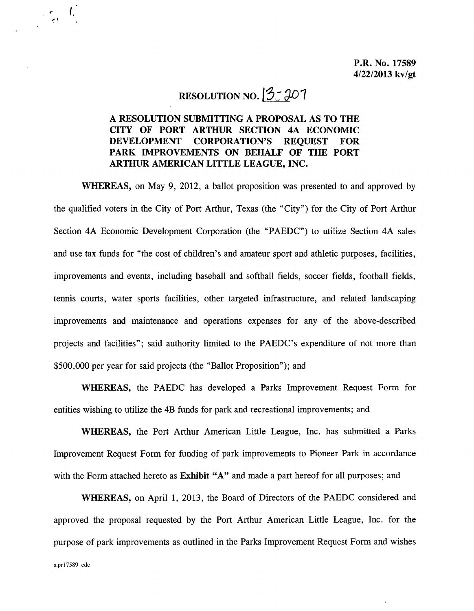## RESOLUTION NO.  $3:207$

 $\cdot$  (,

## A RESOLUTION SUBMITTING A PROPOSAL AS TO THE CITY OF PORT ARTHUR SECTION 4A ECONOMIC DEVELOPMENT CORPORATION'S REQUEST FOR PARK IMPROVEMENTS ON BEHALF OF THE PORT ARTHUR AMERICAN LITTLE LEAGUE, INC.

WHEREAS, on May 9, 2012, a ballot proposition was presented to and approved by the qualified voters in the City of Port Arthur, Texas (the "City") for the City of Port Arthur Section 4A Economic Development Corporation (the "PAEDC") to utilize Section 4A sales and use tax funds for "the cost of children's and amateur sport and athletic purposes, facilities, improvements and events, including baseball and softball fields, soccer fields, football fields, tennis courts, water sports facilities, other targeted infrastructure, and related landscaping improvements and maintenance and operations expenses for any of the above-described projects and facilities"; said authority limited to the PAEDC's expenditure of not more than \$500,000 per year for said projects (the "Ballot Proposition"); and

WHEREAS, the PAEDC has developed a Parks Improvement Request Form for entities wishing to utilize the 4B funds for park and recreational improvements; and

WHEREAS, the Port Arthur American Little League, Inc. has submitted a Parks Improvement Request Form for funding of park improvements to Pioneer Park in accordance with the Form attached hereto as Exhibit "A" and made a part hereof for all purposes; and

WHEREAS, on April 1, 2013, the Board of Directors of the PAEDC considered and approved the proposal requested by the Port Arthur American Little League, Inc. for the purpose of park improvements as outlined in the Parks Improvement Request Form and wishes s.prI7589\_edc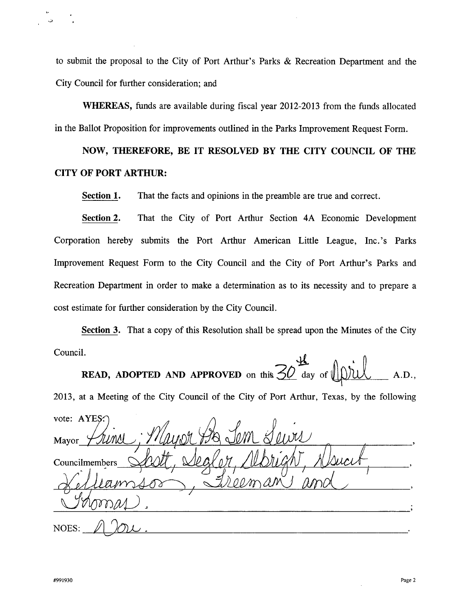to submit the proposal to the City of Port Arthur's Parks & Recreation Department and the City Council for further consideration; and

WHEREAS, funds are available during fiscal year 2012-2013 from the funds allocated in the Ballot Proposition for improvements outlined in the Parks Improvement Request Form.

NOW, THEREFORE, BE IT RESOLVED BY THE CITY COUNCIL OF THE CITY OF PORT ARTHUR:

Section 1. That the facts and opinions in the preamble are true and correct.

Section 2. That the City of Port Arthur Section 4A Economic Development Corporation hereby submits the Port Arthur American Little League, Inc.'s Parks Improvement Request Form to the City Council and the City of Port Arthur's Parks and Recreation Department in order to make a determination as to its necessity and to prepare a cost estimate for further consideration by the City Council.

Section 3. That a copy of this Resolution shall be spread upon the Minutes of the City  $\text{Council.}$ 

**READ, ADOPTED AND APPROVED** on this  $\angle O$  day of  $\parallel \parallel$ ))  $\parallel \parallel \parallel$ , A.D.,

2013, at a Meeting of the City Council of the City of Port Arthur, Texas, by the following vote: AYES:

Mayor Councilmembers  $\mathcal{A}N$ NOES: <u>1 JOU.</u>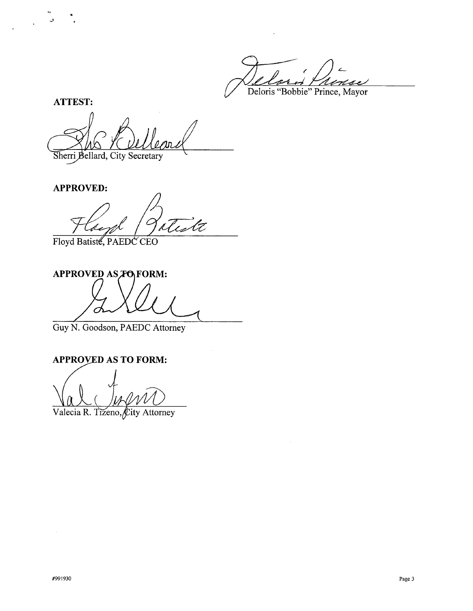Deloris "Bobbie" Prince, Mayor

**ATTEST:**

"

 $\mathbf{r}$ 

 $\ddot{\phantom{a}}$ 

Sherri Bellard, City Secretary

**APPROVED:**

.<br>tt 'La

Floyd Batiste, PAEDC CEO

**APPROVED AS FORM:** 

Guy N. Goodson, PAEDC Attorney

## **APPROVED AS TO FORM:**

(

Valecia R. Tizeno, City Attorney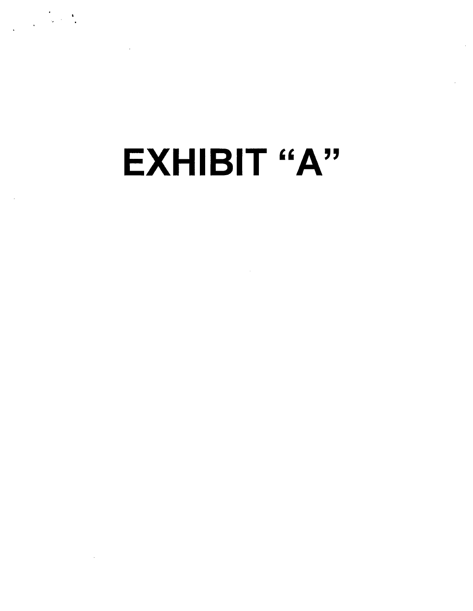EXHIBIT "A"

 $\label{eq:2} \frac{1}{\sqrt{2\pi}}\left(\frac{1}{\sqrt{2\pi}}\right)^{1/2}\frac{1}{\sqrt{2\pi}}\left(\frac{1}{\sqrt{2\pi}}\right)^{1/2}$ 

 $\sim$   $\sim$